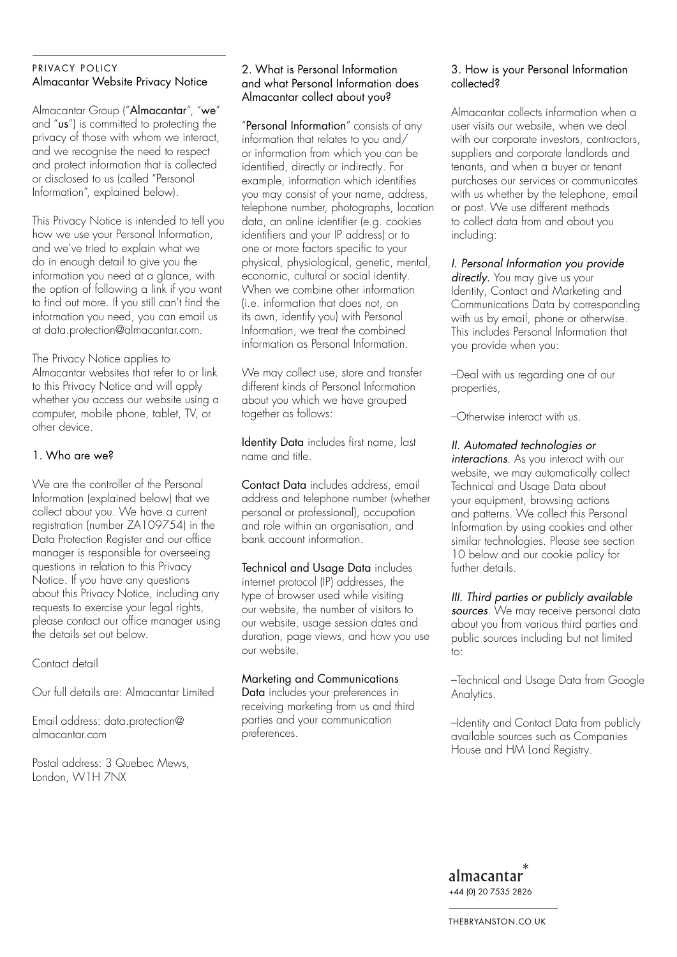## PRIVACY POLICY Almacantar Website Privacy Notice

Almacantar Group ("Almacantar", "we" and "us") is committed to protecting the privacy of those with whom we interact, and we recognise the need to respect and protect information that is collected or disclosed to us (called "Personal Information", explained below).

This Privacy Notice is intended to tell you how we use your Personal Information, and we've tried to explain what we do in enough detail to give you the information you need at a glance, with the option of following a link if you want to find out more. If you still can't find the information you need, you can email us at data.protection@almacantar.com.

The Privacy Notice applies to Almacantar websites that refer to or link to this Privacy Notice and will apply whether you access our website using a computer, mobile phone, tablet, TV, or other device.

## 1. Who are we?

We are the controller of the Personal Information (explained below) that we collect about you. We have a current registration (number ZA109754) in the Data Protection Register and our office manager is responsible for overseeing questions in relation to this Privacy Notice. If you have any questions about this Privacy Notice, including any requests to exercise your legal rights, please contact our office manager using the details set out below.

Contact detail

Our full details are: Almacantar Limited

Email address: data.protection@ almacantar.com

Postal address: 3 Quebec Mews, London, W1H 7NX

#### 2. What is Personal Information and what Personal Information does Almacantar collect about you?

"Personal Information" consists of any information that relates to you and/ or information from which you can be identified, directly or indirectly. For example, information which identifies you may consist of your name, address, telephone number, photographs, location data, an online identifier (e.g. cookies identifiers and your IP address) or to one or more factors specific to your physical, physiological, genetic, mental, economic, cultural or social identity. When we combine other information (i.e. information that does not, on its own, identify you) with Personal Information, we treat the combined information as Personal Information.

We may collect use, store and transfer different kinds of Personal Information about you which we have grouped together as follows:

Identity Data includes first name, last name and title.

Contact Data includes address, email address and telephone number (whether personal or professional), occupation and role within an organisation, and bank account information.

Technical and Usage Data includes internet protocol (IP) addresses, the type of browser used while visiting our website, the number of visitors to our website, usage session dates and duration, page views, and how you use our website.

# Marketing and Communications

Data includes your preferences in receiving marketing from us and third parties and your communication preferences.

#### 3. How is your Personal Information collected?

Almacantar collects information when a user visits our website, when we deal with our corporate investors, contractors, suppliers and corporate landlords and tenants, and when a buyer or tenant purchases our services or communicates with us whether by the telephone, email or post. We use different methods to collect data from and about you including:

*I. Personal Information you provide* 

directly. You may give us your Identity, Contact and Marketing and Communications Data by corresponding with us by email, phone or otherwise. This includes Personal Information that you provide when you:

–Deal with us regarding one of our properties,

–Otherwise interact with us.

*II. Automated technologies or* 

*interactions*. As you interact with our website, we may automatically collect Technical and Usage Data about your equipment, browsing actions and patterns. We collect this Personal Information by using cookies and other similar technologies. Please see section 10 below and our cookie policy for further details.

*III. Third parties or publicly available sources*. We may receive personal data about you from various third parties and public sources including but not limited  $t \cap$ 

–Technical and Usage Data from Google Analytics.

–Identity and Contact Data from publicly available sources such as Companies House and HM Land Registry.

almacantar +44 (0) 20 7535 2826

THEBRYANSTON.CO.UK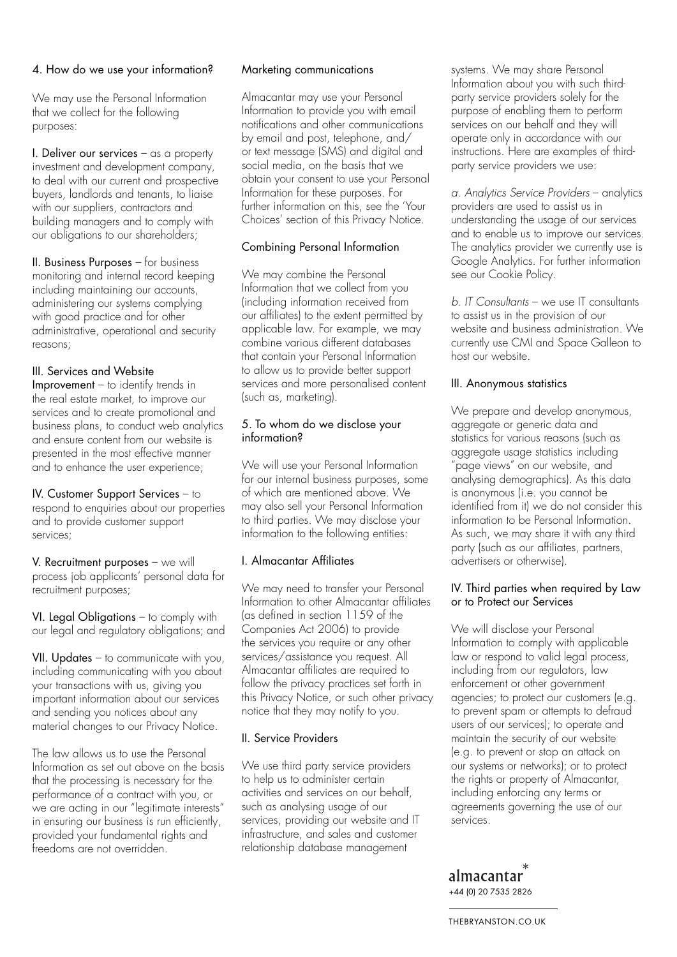# 4. How do we use your information?

We may use the Personal Information that we collect for the following purposes:

I. Deliver our services  $-\text{as a property}$ investment and development company, to deal with our current and prospective buyers, landlords and tenants, to liaise with our suppliers, contractors and building managers and to comply with our obligations to our shareholders;

II. Business Purposes – for business monitoring and internal record keeping including maintaining our accounts, administering our systems complying with good practice and for other administrative, operational and security reasons;

# III. Services and Website

Improvement – to identify trends in the real estate market, to improve our services and to create promotional and business plans, to conduct web analytics and ensure content from our website is presented in the most effective manner and to enhance the user experience;

IV. Customer Support Services – to respond to enquiries about our properties and to provide customer support services;

V. Recruitment purposes – we will process job applicants' personal data for recruitment purposes;

VI. Legal Obligations - to comply with our legal and regulatory obligations; and

VII. Updates – to communicate with you, including communicating with you about your transactions with us, giving you important information about our services and sending you notices about any material changes to our Privacy Notice.

The law allows us to use the Personal Information as set out above on the basis that the processing is necessary for the performance of a contract with you, or we are acting in our "legitimate interests" in ensuring our business is run efficiently, provided your fundamental rights and freedoms are not overridden.

## Marketing communications

Almacantar may use your Personal Information to provide you with email notifications and other communications by email and post, telephone, and/ or text message (SMS) and digital and social media, on the basis that we obtain your consent to use your Personal Information for these purposes. For further information on this, see the 'Your Choices' section of this Privacy Notice.

# Combining Personal Information

We may combine the Personal Information that we collect from you (including information received from our affiliates) to the extent permitted by applicable law. For example, we may combine various different databases that contain your Personal Information to allow us to provide better support services and more personalised content (such as, marketing).

## 5. To whom do we disclose your information?

We will use your Personal Information for our internal business purposes, some of which are mentioned above. We may also sell your Personal Information to third parties. We may disclose your information to the following entities:

# I. Almacantar Affiliates

We may need to transfer your Personal Information to other Almacantar affiliates (as defined in section 1159 of the Companies Act 2006) to provide the services you require or any other services/assistance you request. All Almacantar affiliates are required to follow the privacy practices set forth in this Privacy Notice, or such other privacy notice that they may notify to you.

# II. Service Providers

We use third party service providers to help us to administer certain activities and services on our behalf, such as analysing usage of our services, providing our website and IT infrastructure, and sales and customer relationship database management

systems. We may share Personal Information about you with such thirdparty service providers solely for the purpose of enabling them to perform services on our behalf and they will operate only in accordance with our instructions. Here are examples of thirdparty service providers we use:

*a. Analytics Service Providers* – analytics providers are used to assist us in understanding the usage of our services and to enable us to improve our services. The analytics provider we currently use is Google Analytics. For further information see our Cookie Policy.

*b. IT Consultants* – we use IT consultants to assist us in the provision of our website and business administration. We currently use CMI and Space Galleon to host our website.

# III. Anonymous statistics

We prepare and develop anonymous, aggregate or generic data and statistics for various reasons (such as aggregate usage statistics including "page views" on our website, and analysing demographics). As this data is anonymous (i.e. you cannot be identified from it) we do not consider this information to be Personal Information. As such, we may share it with any third party (such as our affiliates, partners, advertisers or otherwise).

## IV. Third parties when required by Law or to Protect our Services

We will disclose your Personal Information to comply with applicable law or respond to valid legal process, including from our regulators, law enforcement or other government agencies; to protect our customers (e.g. to prevent spam or attempts to defraud users of our services); to operate and maintain the security of our website (e.g. to prevent or stop an attack on our systems or networks); or to protect the rights or property of Almacantar, including enforcing any terms or agreements governing the use of our services.

almacantar +44 (0) 20 7535 2826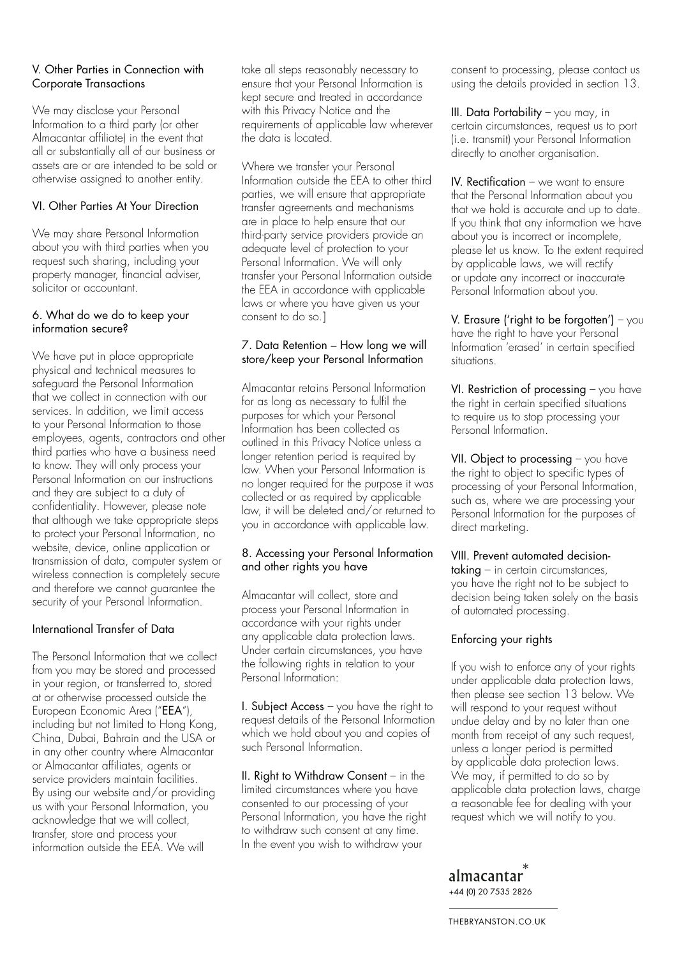## V. Other Parties in Connection with Corporate Transactions

We may disclose your Personal Information to a third party (or other Almacantar affiliate) in the event that all or substantially all of our business or assets are or are intended to be sold or otherwise assigned to another entity.

## VI. Other Parties At Your Direction

We may share Personal Information about you with third parties when you request such sharing, including your property manager, financial adviser, solicitor or accountant.

#### 6. What do we do to keep your information secure?

We have put in place appropriate physical and technical measures to safeguard the Personal Information that we collect in connection with our services. In addition, we limit access to your Personal Information to those employees, agents, contractors and other third parties who have a business need to know. They will only process your Personal Information on our instructions and they are subject to a duty of confidentiality. However, please note that although we take appropriate steps to protect your Personal Information, no website, device, online application or transmission of data, computer system or wireless connection is completely secure and therefore we cannot guarantee the security of your Personal Information.

# International Transfer of Data

The Personal Information that we collect from you may be stored and processed in your region, or transferred to, stored at or otherwise processed outside the European Economic Area ("EEA"), including but not limited to Hong Kong, China, Dubai, Bahrain and the USA or in any other country where Almacantar or Almacantar affiliates, agents or service providers maintain facilities. By using our website and/or providing us with your Personal Information, you acknowledge that we will collect, transfer, store and process your information outside the EEA. We will

take all steps reasonably necessary to ensure that your Personal Information is kept secure and treated in accordance with this Privacy Notice and the requirements of applicable law wherever the data is located.

Where we transfer your Personal Information outside the EEA to other third parties, we will ensure that appropriate transfer agreements and mechanisms are in place to help ensure that our third-party service providers provide an adequate level of protection to your Personal Information. We will only transfer your Personal Information outside the EEA in accordance with applicable laws or where you have given us your consent to do so.]

#### 7. Data Retention – How long we will store/keep your Personal Information

Almacantar retains Personal Information for as long as necessary to fulfil the purposes for which your Personal Information has been collected as outlined in this Privacy Notice unless a longer retention period is required by law. When your Personal Information is no longer required for the purpose it was collected or as required by applicable law, it will be deleted and/or returned to you in accordance with applicable law.

## 8. Accessing your Personal Information and other rights you have

Almacantar will collect, store and process your Personal Information in accordance with your rights under any applicable data protection laws. Under certain circumstances, you have the following rights in relation to your Personal Information:

I. Subject Access  $-\sqrt{ }$  have the right to request details of the Personal Information which we hold about you and copies of such Personal Information.

II. Right to Withdraw Consent – in the limited circumstances where you have consented to our processing of your Personal Information, you have the right to withdraw such consent at any time. In the event you wish to withdraw your

consent to processing, please contact us using the details provided in section 13.

III. Data Portability – you may, in certain circumstances, request us to port (i.e. transmit) your Personal Information directly to another organisation.

IV. Rectification – we want to ensure that the Personal Information about you that we hold is accurate and up to date. If you think that any information we have about you is incorrect or incomplete, please let us know. To the extent required by applicable laws, we will rectify or update any incorrect or inaccurate Personal Information about you.

V. Erasure ('right to be forgotten')  $-$  you have the right to have your Personal Information 'erased' in certain specified situations.

VI. Restriction of processing – you have the right in certain specified situations to require us to stop processing your Personal Information.

VII. Object to processing - you have the right to object to specific types of processing of your Personal Information, such as, where we are processing your Personal Information for the purposes of direct marketing.

#### VIII. Prevent automated decision-

taking – in certain circumstances, you have the right not to be subject to decision being taken solely on the basis of automated processing.

#### Enforcing your rights

If you wish to enforce any of your rights under applicable data protection laws, then please see section 13 below. We will respond to your request without undue delay and by no later than one month from receipt of any such request, unless a longer period is permitted by applicable data protection laws. We may, if permitted to do so by applicable data protection laws, charge a reasonable fee for dealing with your request which we will notify to you.

almacantar +44 (0) 20 7535 2826

THEBRYANSTON.CO.UK